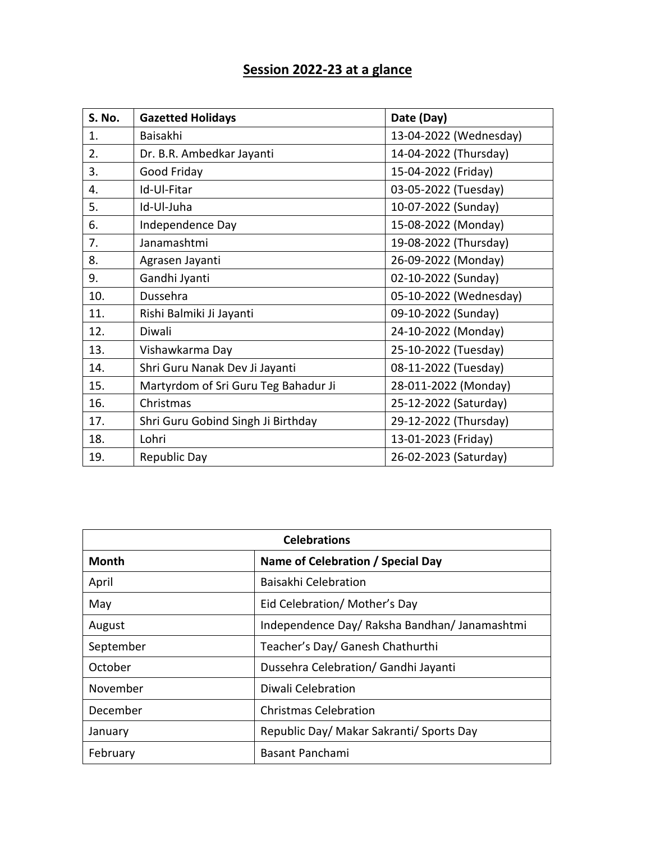## **Session 2022-23 at a glance**

| S. No. | <b>Gazetted Holidays</b>             | Date (Day)             |
|--------|--------------------------------------|------------------------|
| 1.     | <b>Baisakhi</b>                      | 13-04-2022 (Wednesday) |
| 2.     | Dr. B.R. Ambedkar Jayanti            | 14-04-2022 (Thursday)  |
| 3.     | Good Friday                          | 15-04-2022 (Friday)    |
| 4.     | Id-Ul-Fitar                          | 03-05-2022 (Tuesday)   |
| 5.     | Id-Ul-Juha                           | 10-07-2022 (Sunday)    |
| 6.     | Independence Day                     | 15-08-2022 (Monday)    |
| 7.     | Janamashtmi                          | 19-08-2022 (Thursday)  |
| 8.     | Agrasen Jayanti                      | 26-09-2022 (Monday)    |
| 9.     | Gandhi Jyanti                        | 02-10-2022 (Sunday)    |
| 10.    | Dussehra                             | 05-10-2022 (Wednesday) |
| 11.    | Rishi Balmiki Ji Jayanti             | 09-10-2022 (Sunday)    |
| 12.    | Diwali                               | 24-10-2022 (Monday)    |
| 13.    | Vishawkarma Day                      | 25-10-2022 (Tuesday)   |
| 14.    | Shri Guru Nanak Dev Ji Jayanti       | 08-11-2022 (Tuesday)   |
| 15.    | Martyrdom of Sri Guru Teg Bahadur Ji | 28-011-2022 (Monday)   |
| 16.    | Christmas                            | 25-12-2022 (Saturday)  |
| 17.    | Shri Guru Gobind Singh Ji Birthday   | 29-12-2022 (Thursday)  |
| 18.    | Lohri                                | 13-01-2023 (Friday)    |
| 19.    | Republic Day                         | 26-02-2023 (Saturday)  |

| <b>Celebrations</b>                               |                                               |  |
|---------------------------------------------------|-----------------------------------------------|--|
| <b>Month</b><br>Name of Celebration / Special Day |                                               |  |
| April                                             | Baisakhi Celebration                          |  |
| May                                               | Eid Celebration/Mother's Day                  |  |
| August                                            | Independence Day/ Raksha Bandhan/ Janamashtmi |  |
| September                                         | Teacher's Day/ Ganesh Chathurthi              |  |
| October                                           | Dussehra Celebration/ Gandhi Jayanti          |  |
| November                                          | Diwali Celebration                            |  |
| December                                          | <b>Christmas Celebration</b>                  |  |
| January                                           | Republic Day/ Makar Sakranti/ Sports Day      |  |
| February                                          | <b>Basant Panchami</b>                        |  |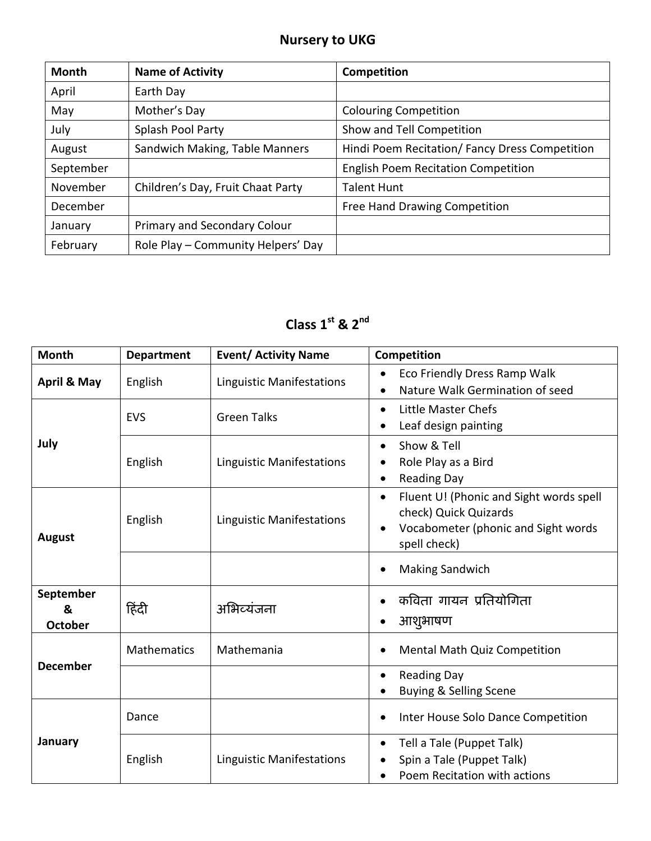## **Nursery to UKG**

| <b>Month</b> | <b>Name of Activity</b>            | Competition                                    |
|--------------|------------------------------------|------------------------------------------------|
| April        | Earth Day                          |                                                |
| May          | Mother's Day                       | <b>Colouring Competition</b>                   |
| July         | Splash Pool Party                  | Show and Tell Competition                      |
| August       | Sandwich Making, Table Manners     | Hindi Poem Recitation/ Fancy Dress Competition |
| September    |                                    | <b>English Poem Recitation Competition</b>     |
| November     | Children's Day, Fruit Chaat Party  | <b>Talent Hunt</b>                             |
| December     |                                    | Free Hand Drawing Competition                  |
| January      | Primary and Secondary Colour       |                                                |
| February     | Role Play - Community Helpers' Day |                                                |

## **Class 1st & 2nd**

| <b>Month</b>                     | <b>Department</b>  | <b>Event/ Activity Name</b>      | <b>Competition</b>                                                                                                                   |
|----------------------------------|--------------------|----------------------------------|--------------------------------------------------------------------------------------------------------------------------------------|
| April & May                      | English            | <b>Linguistic Manifestations</b> | Eco Friendly Dress Ramp Walk<br>$\bullet$<br>Nature Walk Germination of seed                                                         |
|                                  | <b>EVS</b>         | <b>Green Talks</b>               | Little Master Chefs<br>$\bullet$<br>Leaf design painting                                                                             |
| July                             | English            | <b>Linguistic Manifestations</b> | Show & Tell<br>Role Play as a Bird<br><b>Reading Day</b>                                                                             |
| August                           | English            | <b>Linguistic Manifestations</b> | Fluent U! (Phonic and Sight words spell<br>$\bullet$<br>check) Quick Quizards<br>Vocabometer (phonic and Sight words<br>spell check) |
|                                  |                    |                                  | <b>Making Sandwich</b>                                                                                                               |
| September<br>&<br><b>October</b> | हिंदी              | अभिव्यंजना                       | कविता गायन प्रतियोगिता<br>आशुभाषण                                                                                                    |
|                                  | <b>Mathematics</b> | Mathemania                       | <b>Mental Math Quiz Competition</b>                                                                                                  |
| <b>December</b>                  |                    |                                  | <b>Reading Day</b><br>$\bullet$<br>Buying & Selling Scene                                                                            |
|                                  | Dance              |                                  | Inter House Solo Dance Competition                                                                                                   |
| January                          | English            | <b>Linguistic Manifestations</b> | Tell a Tale (Puppet Talk)<br>$\bullet$<br>Spin a Tale (Puppet Talk)<br>Poem Recitation with actions<br>$\bullet$                     |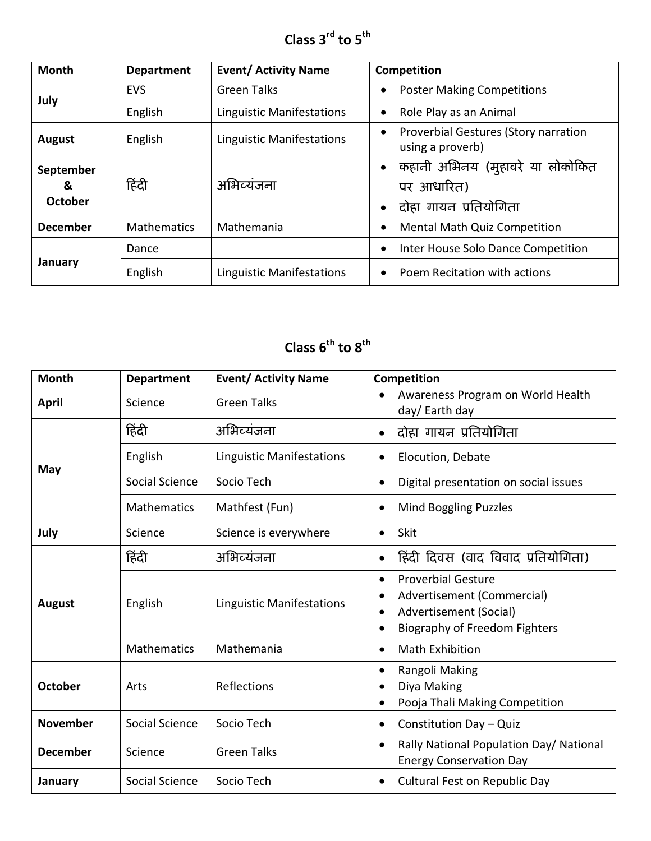**Class 3rd to 5th**

| <b>Month</b>                     | <b>Department</b>  | <b>Event/ Activity Name</b>      | Competition                                                                |
|----------------------------------|--------------------|----------------------------------|----------------------------------------------------------------------------|
|                                  | <b>EVS</b>         | <b>Green Talks</b>               | <b>Poster Making Competitions</b>                                          |
| July                             | English            | <b>Linguistic Manifestations</b> | Role Play as an Animal                                                     |
| <b>August</b>                    | English            | <b>Linguistic Manifestations</b> | Proverbial Gestures (Story narration<br>using a proverb)                   |
| September<br>&<br><b>October</b> | हिंदी              | अभिव्यंजना                       | •   कहानी अभिनय (मुहावरे या लोकोकित<br>पर आधारित)<br>दोहा गायन प्रतियोगिता |
| <b>December</b>                  | <b>Mathematics</b> | Mathemania                       | <b>Mental Math Quiz Competition</b>                                        |
|                                  | Dance              |                                  | Inter House Solo Dance Competition                                         |
| January                          | English            | <b>Linguistic Manifestations</b> | Poem Recitation with actions                                               |

## **Class 6 th to 8 th**

| <b>Month</b>    | <b>Department</b>  | <b>Event/ Activity Name</b>      | Competition                                                                                                               |
|-----------------|--------------------|----------------------------------|---------------------------------------------------------------------------------------------------------------------------|
| <b>April</b>    | Science            | <b>Green Talks</b>               | Awareness Program on World Health<br>day/ Earth day                                                                       |
|                 | हिंदी              | अभिव्यंजना                       | दोहा गायन प्रतियोगिता<br>$\bullet$                                                                                        |
|                 | English            | <b>Linguistic Manifestations</b> | Elocution, Debate                                                                                                         |
| May             | Social Science     | Socio Tech                       | Digital presentation on social issues                                                                                     |
|                 | <b>Mathematics</b> | Mathfest (Fun)                   | Mind Boggling Puzzles<br>$\bullet$                                                                                        |
| July            | Science            | Science is everywhere            | <b>Skit</b>                                                                                                               |
|                 | हिंदी              | अभिव्यंजना                       | हिंदी दिवस (वाद विवाद प्रतियोगिता)                                                                                        |
| August          | English            | <b>Linguistic Manifestations</b> | <b>Proverbial Gesture</b><br>Advertisement (Commercial)<br>Advertisement (Social)<br><b>Biography of Freedom Fighters</b> |
|                 | <b>Mathematics</b> | Mathemania                       | <b>Math Exhibition</b>                                                                                                    |
| <b>October</b>  | Arts               | Reflections                      | Rangoli Making<br>Diya Making<br>Pooja Thali Making Competition                                                           |
| <b>November</b> | Social Science     | Socio Tech                       | Constitution Day - Quiz<br>$\bullet$                                                                                      |
| <b>December</b> | Science            | <b>Green Talks</b>               | Rally National Population Day/ National<br>$\bullet$<br><b>Energy Conservation Day</b>                                    |
| January         | Social Science     | Socio Tech                       | <b>Cultural Fest on Republic Day</b>                                                                                      |